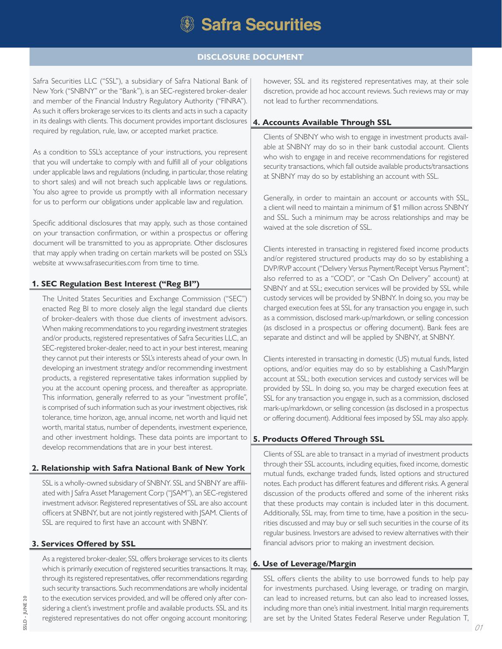

# **DISCLOSURE DOCUMENT**

Safra Securities LLC ("SSL"), a subsidiary of Safra National Bank of New York ("SNBNY" or the "Bank"), is an SEC-registered broker-dealer and member of the Financial Industry Regulatory Authority ("FINRA"). As such it offers brokerage services to its clients and acts in such a capacity in its dealings with clients. This document provides important disclosures required by regulation, rule, law, or accepted market practice.

As a condition to SSL's acceptance of your instructions, you represent that you will undertake to comply with and fulfill all of your obligations under applicable laws and regulations (including, in particular, those relating to short sales) and will not breach such applicable laws or regulations. You also agree to provide us promptly with all information necessary for us to perform our obligations under applicable law and regulation.

Specific additional disclosures that may apply, such as those contained on your transaction confirmation, or within a prospectus or offering document will be transmitted to you as appropriate. Other disclosures that may apply when trading on certain markets will be posted on SSL's website at www.safrasecurities.com from time to time.

#### **1. SEC Regulation Best Interest ("Reg BI")**

The United States Securities and Exchange Commission ("SEC") enacted Reg BI to more closely align the legal standard due clients of broker-dealers with those due clients of investment advisors. When making recommendations to you regarding investment strategies and/or products, registered representatives of Safra Securities LLC, an SEC-registered broker-dealer, need to act in your best interest, meaning they cannot put their interests or SSL's interests ahead of your own. In developing an investment strategy and/or recommending investment products, a registered representative takes information supplied by you at the account opening process, and thereafter as appropriate. This information, generally referred to as your "investment profile", is comprised of such information such as your investment objectives, risk tolerance, time horizon, age, annual income, net worth and liquid net worth, marital status, number of dependents, investment experience, and other investment holdings. These data points are important to **5. Products Offered Through SSL** develop recommendations that are in your best interest.

#### **2. Relationship with Safra National Bank of New York**

SSL is a wholly-owned subsidiary of SNBNY. SSL and SNBNY are affiliated with J Safra Asset Management Corp ("JSAM"), an SEC-registered investment advisor. Registered representatives of SSL are also account officers at SNBNY, but are not jointly registered with JSAM. Clients of SSL are required to first have an account with SNBNY.

### **3. Services Offered by SSL**

As a registered broker-dealer, SSL offers brokerage services to its clients which is primarily execution of registered securities transactions. It may, through its registered representatives, offer recommendations regarding such security transactions. Such recommendations are wholly incidental to the execution services provided, and will be offered only after considering a client's investment profile and available products. SSL and its registered representatives do not offer ongoing account monitoring; however, SSL and its registered representatives may, at their sole discretion, provide ad hoc account reviews. Such reviews may or may not lead to further recommendations.

#### **4. Accounts Available Through SSL**

Clients of SNBNY who wish to engage in investment products available at SNBNY may do so in their bank custodial account. Clients who wish to engage in and receive recommendations for registered security transactions, which fall outside available products/transactions at SNBNY may do so by establishing an account with SSL.

Generally, in order to maintain an account or accounts with SSL, a client will need to maintain a minimum of \$1 million across SNBNY and SSL. Such a minimum may be across relationships and may be waived at the sole discretion of SSL.

Clients interested in transacting in registered fixed income products and/or registered structured products may do so by establishing a DVP/RVP account ("Delivery Versus Payment/Receipt Versus Payment"; also referred to as a "COD", or "Cash On Delivery" account) at SNBNY and at SSL; execution services will be provided by SSL while custody services will be provided by SNBNY. In doing so, you may be charged execution fees at SSL for any transaction you engage in, such as a commission, disclosed mark-up/markdown, or selling concession (as disclosed in a prospectus or offering document). Bank fees are separate and distinct and will be applied by SNBNY, at SNBNY.

Clients interested in transacting in domestic (US) mutual funds, listed options, and/or equities may do so by establishing a Cash/Margin account at SSL; both execution services and custody services will be provided by SSL. In doing so, you may be charged execution fees at SSL for any transaction you engage in, such as a commission, disclosed mark-up/markdown, or selling concession (as disclosed in a prospectus or offering document). Additional fees imposed by SSL may also apply.

Clients of SSL are able to transact in a myriad of investment products through their SSL accounts, including equities, fixed income, domestic mutual funds, exchange traded funds, listed options and structured notes. Each product has different features and different risks. A general discussion of the products offered and some of the inherent risks that these products may contain is included later in this document. Additionally, SSL may, from time to time, have a position in the securities discussed and may buy or sell such securities in the course of its regular business. Investors are advised to review alternatives with their financial advisors prior to making an investment decision.

#### **6. Use of Leverage/Margin**

SSL offers clients the ability to use borrowed funds to help pay for investments purchased. Using leverage, or trading on margin, can lead to increased returns, but can also lead to increased losses, including more than one's initial investment. Initial margin requirements are set by the United States Federal Reserve under Regulation T,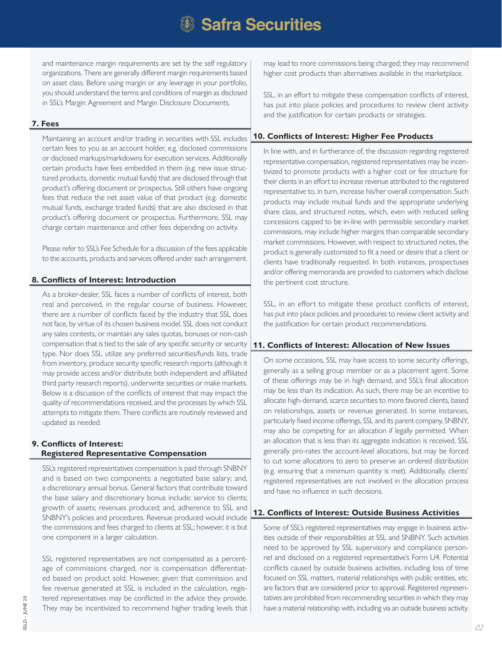and maintenance margin requirements are set by the self regulatory organizations. There are generally different margin requirements based on asset class. Before using margin or any leverage in your portfolio, you should understand the terms and conditions of margin as disclosed in SSL's Margin Agreement and Margin Disclosure Documents.

# **7. Fees**

Maintaining an account and/or trading in securities with SSL includes certain fees to you as an account holder, e.g. disclosed commissions or disclosed markups/markdowns for execution services. Additionally certain products have fees embedded in them (e.g. new issue structured products, domestic mutual funds) that are disclosed through that product's offering document or prospectus. Still others have ongoing fees that reduce the net asset value of that product (e.g. domestic mutual funds, exchange traded funds) that are also disclosed in that product's offering document or prospectus. Furthermore, SSL may charge certain maintenance and other fees depending on activity.

Please refer to SSL's Fee Schedule for a discussion of the fees applicable to the accounts, products and services offered under each arrangement.

# **8. Conflicts of Interest: Introduction**

As a broker-dealer, SSL faces a number of conflicts of interest, both real and perceived, in the regular course of business. However, there are a number of conflicts faced by the industry that SSL does not face, by virtue of its chosen business model. SSL does not conduct any sales contests, or maintain any sales quotas, bonuses or non-cash compensation that is tied to the sale of any specific security or security type. Nor does SSL utilize any preferred securities/funds lists, trade from inventory, produce security specific research reports (although it may provide access and/or distribute both independent and affiliated third party research reports), underwrite securities or make markets. Below is a discussion of the conflicts of interest that may impact the quality of recommendations received, and the processes by which SSL attempts to mitigate them. There conflicts are routinely reviewed and updated as needed.

#### **9. Conflicts of Interest: Registered Representative Compensation**

SSL's registered representatives compensation is paid through SNBNY and is based on two components: a negotiated base salary; and, a discretionary annual bonus. General factors that contribute toward the base salary and discretionary bonus include: service to clients; growth of assets; revenues produced; and, adherence to SSL and SNBNY's policies and procedures. Revenue produced would include the commissions and fees charged to clients at SSL; however, it is but one component in a larger calculation.

SSL registered representatives are not compensated as a percentage of commissions charged, nor is compensation differentiated based on product sold. However, given that commission and fee revenue generated at SSL is included in the calculation, registered representatives may be conflicted in the advice they provide. They may be incentivized to recommend higher trading levels that may lead to more commissions being charged; they may recommend higher cost products than alternatives available in the marketplace.

SSL, in an effort to mitigate these compensation conflicts of interest, has put into place policies and procedures to review client activity and the justification for certain products or strategies.

# **10. Conflicts of Interest: Higher Fee Products**

In line with, and in furtherance of, the discussion regarding registered representative compensation, registered representatives may be incentivized to promote products with a higher cost or fee structure for their clients in an effort to increase revenue attributed to the registered representative to, in turn, increase his/her overall compensation. Such products may include mutual funds and the appropriate underlying share class, and structured notes, which, even with reduced selling concessions capped to be in-line with permissible secondary market commissions, may include higher margins than comparable secondary market commissions. However, with respect to structured notes, the product is generally customized to fit a need or desire that a client or clients have traditionally requested. In both instances, prospectuses and/or offering memoranda are provided to customers which disclose the pertinent cost structure.

SSL, in an effort to mitigate these product conflicts of interest, has put into place policies and procedures to review client activity and the justification for certain product recommendations.

### **11. Conflicts of Interest: Allocation of New Issues**

On some occasions, SSL may have access to some security offerings, generally as a selling group member or as a placement agent. Some of these offerings may be in high demand, and SSL's final allocation may be less than its indication. As such, there may be an incentive to allocate high-demand, scarce securities to more favored clients, based on relationships, assets or revenue generated. In some instances, particularly fixed income offerings, SSL and its parent company, SNBNY, may also be competing for an allocation if legally permitted. When an allocation that is less than its aggregate indication is received, SSL generally pro-rates the account-level allocations, but may be forced to cut some allocations to zero to preserve an ordered distribution (e.g. ensuring that a minimum quantity is met). Additionally, clients' registered representatives are not involved in the allocation process and have no influence in such decisions.

# **12. Conflicts of Interest: Outside Business Activities**

Some of SSL's registered representatives may engage in business activities outside of their responsibilities at SSL and SNBNY. Such activities need to be approved by SSL supervisory and compliance personnel and disclosed on a registered representative's Form U4. Potential conflicts caused by outside business activities, including loss of time focused on SSL matters, material relationships with public entities, etc. are factors that are considered prior to approval. Registered representatives are prohibited from recommending securities in which they may have a material relationship with, including via an outside business activity.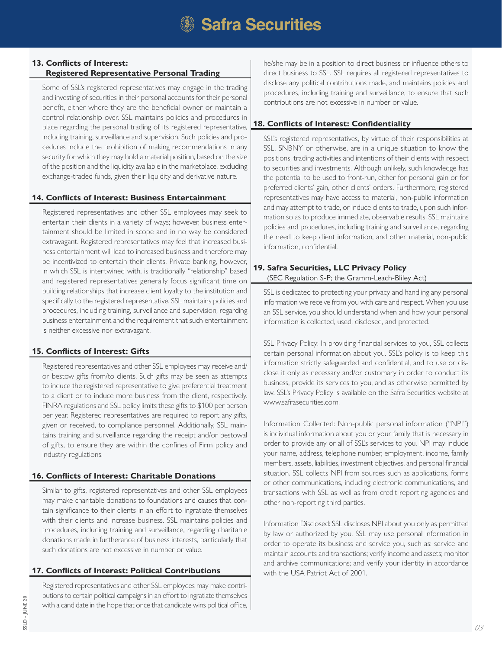#### **13. Conflicts of Interest: Registered Representative Personal Trading**

Some of SSL's registered representatives may engage in the trading and investing of securities in their personal accounts for their personal benefit, either where they are the beneficial owner or maintain a control relationship over. SSL maintains policies and procedures in place regarding the personal trading of its registered representative, including training, surveillance and supervision. Such policies and procedures include the prohibition of making recommendations in any security for which they may hold a material position, based on the size of the position and the liquidity available in the marketplace, excluding exchange-traded funds, given their liquidity and derivative nature.

#### **14. Conflicts of Interest: Business Entertainment**

Registered representatives and other SSL employees may seek to entertain their clients in a variety of ways; however, business entertainment should be limited in scope and in no way be considered extravagant. Registered representatives may feel that increased business entertainment will lead to increased business and therefore may be incentivized to entertain their clients. Private banking, however, in which SSL is intertwined with, is traditionally "relationship" based and registered representatives generally focus significant time on building relationships that increase client loyalty to the institution and specifically to the registered representative. SSL maintains policies and procedures, including training, surveillance and supervision, regarding business entertainment and the requirement that such entertainment is neither excessive nor extravagant.

### **15. Conflicts of Interest: Gifts**

Registered representatives and other SSL employees may receive and/ or bestow gifts from/to clients. Such gifts may be seen as attempts to induce the registered representative to give preferential treatment to a client or to induce more business from the client, respectively. FINRA regulations and SSL policy limits these gifts to \$100 per person per year. Registered representatives are required to report any gifts, given or received, to compliance personnel. Additionally, SSL maintains training and surveillance regarding the receipt and/or bestowal of gifts, to ensure they are within the confines of Firm policy and industry regulations.

# **16. Conflicts of Interest: Charitable Donations**

Similar to gifts, registered representatives and other SSL employees may make charitable donations to foundations and causes that contain significance to their clients in an effort to ingratiate themselves with their clients and increase business. SSL maintains policies and procedures, including training and surveillance, regarding charitable donations made in furtherance of business interests, particularly that such donations are not excessive in number or value.

# **17. Conflicts of Interest: Political Contributions**

Registered representatives and other SSL employees may make contributions to certain political campaigns in an effort to ingratiate themselves with a candidate in the hope that once that candidate wins political office, he/she may be in a position to direct business or influence others to direct business to SSL. SSL requires all registered representatives to disclose any political contributions made, and maintains policies and procedures, including training and surveillance, to ensure that such contributions are not excessive in number or value.

# **18. Conflicts of Interest: Confidentiality**

SSL's registered representatives, by virtue of their responsibilities at SSL, SNBNY or otherwise, are in a unique situation to know the positions, trading activities and intentions of their clients with respect to securities and investments. Although unlikely, such knowledge has the potential to be used to front-run, either for personal gain or for preferred clients' gain, other clients' orders. Furthermore, registered representatives may have access to material, non-public information and may attempt to trade, or induce clients to trade, upon such information so as to produce immediate, observable results. SSL maintains policies and procedures, including training and surveillance, regarding the need to keep client information, and other material, non-public information, confidential.

## **19. Safra Securities, LLC Privacy Policy** (SEC Regulation S-P; the Gramm-Leach-Bliley Act)

SSL is dedicated to protecting your privacy and handling any personal information we receive from you with care and respect. When you use an SSL service, you should understand when and how your personal information is collected, used, disclosed, and protected.

SSL Privacy Policy: In providing financial services to you, SSL collects certain personal information about you. SSL's policy is to keep this information strictly safeguarded and confidential, and to use or disclose it only as necessary and/or customary in order to conduct its business, provide its services to you, and as otherwise permitted by law. SSL's Privacy Policy is available on the Safra Securities website at www.safrasecurities.com.

Information Collected: Non-public personal information ("NPI") is individual information about you or your family that is necessary in order to provide any or all of SSL's services to you. NPI may include your name, address, telephone number, employment, income, family members, assets, liabilities, investment objectives, and personal financial situation. SSL collects NPI from sources such as applications, forms or other communications, including electronic communications, and transactions with SSL as well as from credit reporting agencies and other non-reporting third parties.

Information Disclosed: SSL discloses NPI about you only as permitted by law or authorized by you. SSL may use personal information in order to operate its business and service you, such as: service and maintain accounts and transactions; verify income and assets; monitor and archive communications; and verify your identity in accordance with the USA Patriot Act of 2001.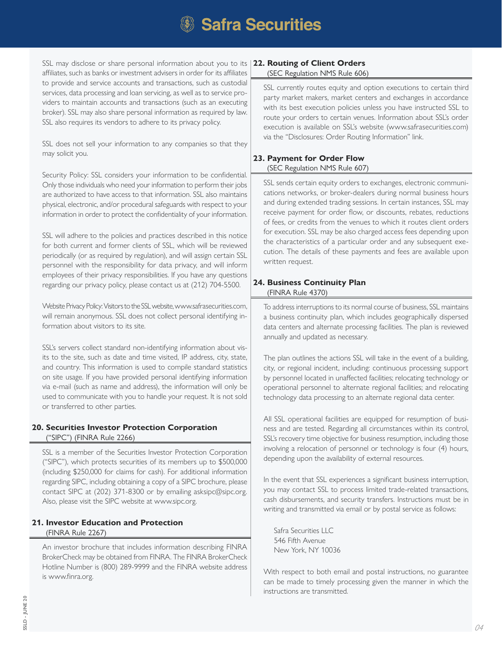SSL may disclose or share personal information about you to its **22. Routing of Client Orders** affiliates, such as banks or investment advisers in order for its affiliates to provide and service accounts and transactions, such as custodial services, data processing and loan servicing, as well as to service providers to maintain accounts and transactions (such as an executing broker). SSL may also share personal information as required by law. SSL also requires its vendors to adhere to its privacy policy.

SSL does not sell your information to any companies so that they may solicit you.

Security Policy: SSL considers your information to be confidential. Only those individuals who need your information to perform their jobs are authorized to have access to that information. SSL also maintains physical, electronic, and/or procedural safeguards with respect to your information in order to protect the confidentiality of your information.

SSL will adhere to the policies and practices described in this notice for both current and former clients of SSL, which will be reviewed periodically (or as required by regulation), and will assign certain SSL personnel with the responsibility for data privacy, and will inform employees of their privacy responsibilities. If you have any questions regarding our privacy policy, please contact us at (212) 704-5500.

Website Privacy Policy: Visitors to the SSL website, www.safrasecurities.com, will remain anonymous. SSL does not collect personal identifying information about visitors to its site.

SSL's servers collect standard non-identifying information about visits to the site, such as date and time visited, IP address, city, state, and country. This information is used to compile standard statistics on site usage. If you have provided personal identifying information via e-mail (such as name and address), the information will only be used to communicate with you to handle your request. It is not sold or transferred to other parties.

### **20. Securities Investor Protection Corporation** ("SIPC") (FINRA Rule 2266)

SSL is a member of the Securities Investor Protection Corporation ("SIPC"), which protects securities of its members up to \$500,000 (including \$250,000 for claims for cash). For additional information regarding SIPC, including obtaining a copy of a SIPC brochure, please contact SIPC at (202) 371-8300 or by emailing asksipc@sipc.org. Also, please visit the SIPC website at www.sipc.org.

# **21. Investor Education and Protection** (FINRA Rule 2267)

An investor brochure that includes information describing FINRA BrokerCheck may be obtained from FINRA. The FINRA BrokerCheck Hotline Number is (800) 289-9999 and the FINRA website address is www.finra.org.

# (SEC Regulation NMS Rule 606)

SSL currently routes equity and option executions to certain third party market makers, market centers and exchanges in accordance with its best execution policies unless you have instructed SSL to route your orders to certain venues. Information about SSL's order execution is available on SSL's website (www.safrasecurities.com) via the "Disclosures: Order Routing Information" link.

# **23. Payment for Order Flow** (SEC Regulation NMS Rule 607)

SSL sends certain equity orders to exchanges, electronic communications networks, or broker-dealers during normal business hours and during extended trading sessions. In certain instances, SSL may receive payment for order flow, or discounts, rebates, reductions of fees, or credits from the venues to which it routes client orders for execution. SSL may be also charged access fees depending upon the characteristics of a particular order and any subsequent execution. The details of these payments and fees are available upon written request.

#### **24. Business Continuity Plan** (FINRA Rule 4370)

To address interruptions to its normal course of business, SSL maintains a business continuity plan, which includes geographically dispersed data centers and alternate processing facilities. The plan is reviewed annually and updated as necessary.

The plan outlines the actions SSL will take in the event of a building, city, or regional incident, including: continuous processing support by personnel located in unaffected facilities; relocating technology or operational personnel to alternate regional facilities; and relocating technology data processing to an alternate regional data center.

All SSL operational facilities are equipped for resumption of business and are tested. Regarding all circumstances within its control, SSL's recovery time objective for business resumption, including those involving a relocation of personnel or technology is four (4) hours, depending upon the availability of external resources.

In the event that SSL experiences a significant business interruption, you may contact SSL to process limited trade-related transactions, cash disbursements, and security transfers. Instructions must be in writing and transmitted via email or by postal service as follows:

Safra Securities LLC 546 Fifth Avenue New York, NY 10036

With respect to both email and postal instructions, no guarantee can be made to timely processing given the manner in which the instructions are transmitted.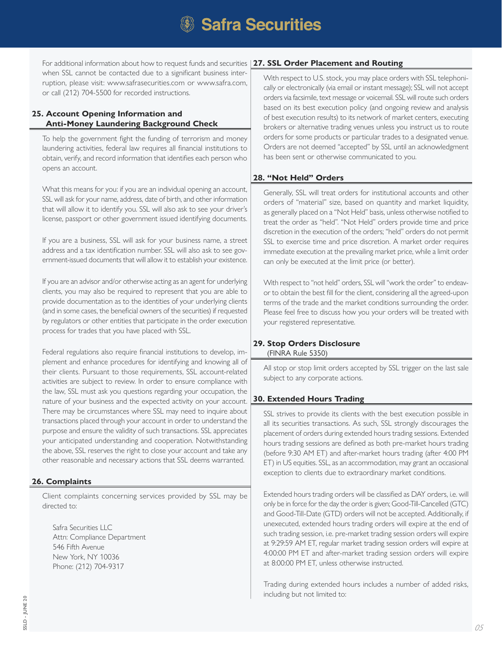For additional information about how to request funds and securities **27. SSL Order Placement and Routing** when SSL cannot be contacted due to a significant business interruption, please visit: www.safrasecurities.com or www.safra.com, or call (212) 704-5500 for recorded instructions.

# **25. Account Opening Information and Anti-Money Laundering Background Check**

To help the government fight the funding of terrorism and money laundering activities, federal law requires all financial institutions to obtain, verify, and record information that identifies each person who opens an account.

What this means for you: if you are an individual opening an account, SSL will ask for your name, address, date of birth, and other information that will allow it to identify you. SSL will also ask to see your driver's license, passport or other government issued identifying documents.

If you are a business, SSL will ask for your business name, a street address and a tax identification number. SSL will also ask to see government-issued documents that will allow it to establish your existence.

If you are an advisor and/or otherwise acting as an agent for underlying clients, you may also be required to represent that you are able to provide documentation as to the identities of your underlying clients (and in some cases, the beneficial owners of the securities) if requested by regulators or other entities that participate in the order execution process for trades that you have placed with SSL.

Federal regulations also require financial institutions to develop, implement and enhance procedures for identifying and knowing all of their clients. Pursuant to those requirements, SSL account-related activities are subject to review. In order to ensure compliance with the law, SSL must ask you questions regarding your occupation, the nature of your business and the expected activity on your account. There may be circumstances where SSL may need to inquire about transactions placed through your account in order to understand the purpose and ensure the validity of such transactions. SSL appreciates your anticipated understanding and cooperation. Notwithstanding the above, SSL reserves the right to close your account and take any other reasonable and necessary actions that SSL deems warranted.

### **26. Complaints**

Client complaints concerning services provided by SSL may be directed to:

Safra Securities LLC Attn: Compliance Department 546 Fifth Avenue New York, NY 10036 Phone: (212) 704-9317

With respect to U.S. stock, you may place orders with SSL telephonically or electronically (via email or instant message); SSL will not accept orders via facsimile, text message or voicemail. SSL will route such orders based on its best execution policy (and ongoing review and analysis of best execution results) to its network of market centers, executing brokers or alternative trading venues unless you instruct us to route orders for some products or particular trades to a designated venue. Orders are not deemed "accepted" by SSL until an acknowledgment has been sent or otherwise communicated to you.

# **28. "Not Held" Orders**

Generally, SSL will treat orders for institutional accounts and other orders of "material" size, based on quantity and market liquidity, as generally placed on a "Not Held" basis, unless otherwise notified to treat the order as "held". "Not Held" orders provide time and price discretion in the execution of the orders; "held" orders do not permit SSL to exercise time and price discretion. A market order requires immediate execution at the prevailing market price, while a limit order can only be executed at the limit price (or better).

With respect to "not held" orders, SSL will "work the order" to endeavor to obtain the best fill for the client, considering all the agreed-upon terms of the trade and the market conditions surrounding the order. Please feel free to discuss how you your orders will be treated with your registered representative.

#### **29. Stop Orders Disclosure** (FINRA Rule 5350)

All stop or stop limit orders accepted by SSL trigger on the last sale subject to any corporate actions.

### **30. Extended Hours Trading**

SSL strives to provide its clients with the best execution possible in all its securities transactions. As such, SSL strongly discourages the placement of orders during extended hours trading sessions. Extended hours trading sessions are defined as both pre-market hours trading (before 9:30 AM ET) and after-market hours trading (after 4:00 PM ET) in US equities. SSL, as an accommodation, may grant an occasional exception to clients due to extraordinary market conditions.

Extended hours trading orders will be classified as DAY orders, i.e. will only be in force for the day the order is given; Good-Till-Cancelled (GTC) and Good-Till-Date (GTD) orders will not be accepted. Additionally, if unexecuted, extended hours trading orders will expire at the end of such trading session, i.e. pre-market trading session orders will expire at 9:29:59 AM ET, regular market trading session orders will expire at 4:00:00 PM ET and after-market trading session orders will expire at 8:00:00 PM ET, unless otherwise instructed.

Trading during extended hours includes a number of added risks, including but not limited to: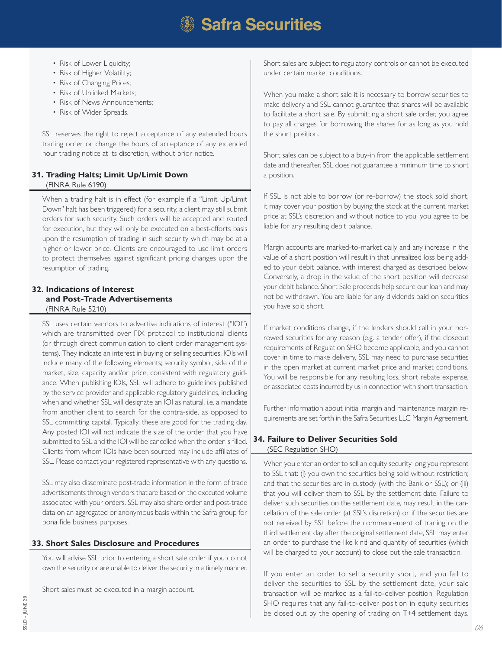- Risk of Lower Liquidity;
- Risk of Higher Volatility;
- Risk of Changing Prices;
- Risk of Unlinked Markets;
- Risk of News Announcements;
- Risk of Wider Spreads.

SSL reserves the right to reject acceptance of any extended hours trading order or change the hours of acceptance of any extended hour trading notice at its discretion, without prior notice.

## **31. Trading Halts; Limit Up/Limit Down** (FINRA Rule 6190)

When a trading halt is in effect (for example if a "Limit Up/Limit Down" halt has been triggered) for a security, a client may still submit orders for such security. Such orders will be accepted and routed for execution, but they will only be executed on a best-efforts basis upon the resumption of trading in such security which may be at a higher or lower price. Clients are encouraged to use limit orders to protect themselves against significant pricing changes upon the resumption of trading.

#### **32. Indications of Interest and Post-Trade Advertisements** (FINRA Rule 5210)

SSL uses certain vendors to advertise indications of interest ("IOI") which are transmitted over FIX protocol to institutional clients (or through direct communication to client order management systems). They indicate an interest in buying or selling securities. IOIs will include many of the following elements; security symbol, side of the market, size, capacity and/or price, consistent with regulatory guidance. When publishing IOIs, SSL will adhere to guidelines published by the service provider and applicable regulatory guidelines, including when and whether SSL will designate an IOI as natural, i.e. a mandate from another client to search for the contra-side, as opposed to SSL committing capital. Typically, these are good for the trading day. Any posted IOI will not indicate the size of the order that you have submitted to SSL and the IOI will be cancelled when the order is filled. Clients from whom IOIs have been sourced may include affiliates of SSL. Please contact your registered representative with any questions.

SSL may also disseminate post-trade information in the form of trade advertisements through vendors that are based on the executed volume associated with your orders. SSL may also share order and post-trade data on an aggregated or anonymous basis within the Safra group for bona fide business purposes.

# **33. Short Sales Disclosure and Procedures**

You will advise SSL prior to entering a short sale order if you do not own the security or are unable to deliver the security in a timely manner.

Short sales must be executed in a margin account.

Short sales are subject to regulatory controls or cannot be executed under certain market conditions.

When you make a short sale it is necessary to borrow securities to make delivery and SSL cannot guarantee that shares will be available to facilitate a short sale. By submitting a short sale order, you agree to pay all charges for borrowing the shares for as long as you hold the short position.

Short sales can be subject to a buy-in from the applicable settlement date and thereafter. SSL does not guarantee a minimum time to short a position.

If SSL is not able to borrow (or re-borrow) the stock sold short, it may cover your position by buying the stock at the current market price at SSL's discretion and without notice to you; you agree to be liable for any resulting debit balance.

Margin accounts are marked-to-market daily and any increase in the value of a short position will result in that unrealized loss being added to your debit balance, with interest charged as described below. Conversely, a drop in the value of the short position will decrease your debit balance. Short Sale proceeds help secure our loan and may not be withdrawn. You are liable for any dividends paid on securities you have sold short.

If market conditions change, if the lenders should call in your borrowed securities for any reason (e.g. a tender offer), if the closeout requirements of Regulation SHO become applicable, and you cannot cover in time to make delivery, SSL may need to purchase securities in the open market at current market price and market conditions. You will be responsible for any resulting loss, short rebate expense, or associated costs incurred by us in connection with short transaction.

Further information about initial margin and maintenance margin requirements are set forth in the Safra Securities LLC Margin Agreement.

# **34. Failure to Deliver Securities Sold** (SEC Regulation SHO)

When you enter an order to sell an equity security long you represent to SSL that: (i) you own the securities being sold without restriction; and that the securities are in custody (with the Bank or SSL); or (iii) that you will deliver them to SSL by the settlement date. Failure to deliver such securities on the settlement date, may result in the cancellation of the sale order (at SSL's discretion) or if the securities are not received by SSL before the commencement of trading on the third settlement day after the original settlement date, SSL may enter an order to purchase the like kind and quantity of securities (which will be charged to your account) to close out the sale transaction.

If you enter an order to sell a security short, and you fail to deliver the securities to SSL by the settlement date, your sale transaction will be marked as a fail-to-deliver position. Regulation SHO requires that any fail-to-deliver position in equity securities be closed out by the opening of trading on T+4 settlement days.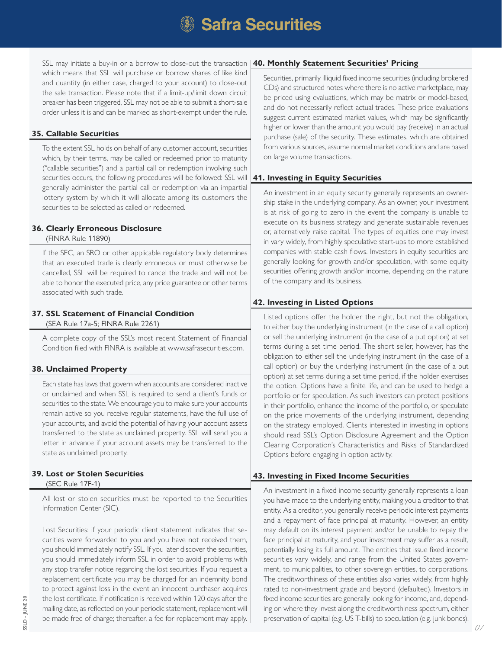SSL may initiate a buy-in or a borrow to close-out the transaction **40. Monthly Statement Securities' Pricing** which means that SSL will purchase or borrow shares of like kind and quantity (in either case, charged to your account) to close-out the sale transaction. Please note that if a limit-up/limit down circuit breaker has been triggered, SSL may not be able to submit a short-sale order unless it is and can be marked as short-exempt under the rule.

#### **35. Callable Securities**

To the extent SSL holds on behalf of any customer account, securities which, by their terms, may be called or redeemed prior to maturity ("callable securities") and a partial call or redemption involving such securities occurs, the following procedures will be followed: SSL will generally administer the partial call or redemption via an impartial lottery system by which it will allocate among its customers the securities to be selected as called or redeemed.

#### **36. Clearly Erroneous Disclosure** (FINRA Rule 11890)

If the SEC, an SRO or other applicable regulatory body determines that an executed trade is clearly erroneous or must otherwise be cancelled, SSL will be required to cancel the trade and will not be able to honor the executed price, any price guarantee or other terms associated with such trade.

# **37. SSL Statement of Financial Condition**

(SEA Rule 17a-5; FINRA Rule 2261)

A complete copy of the SSL's most recent Statement of Financial Condition filed with FINRA is available at www.safrasecurities.com.

### **38. Unclaimed Property**

Each state has laws that govern when accounts are considered inactive or unclaimed and when SSL is required to send a client's funds or securities to the state. We encourage you to make sure your accounts remain active so you receive regular statements, have the full use of your accounts, and avoid the potential of having your account assets transferred to the state as unclaimed property. SSL will send you a letter in advance if your account assets may be transferred to the state as unclaimed property.

#### **39. Lost or Stolen Securities** (SEC Rule 17F-1)

All lost or stolen securities must be reported to the Securities Information Center (SIC).

Lost Securities: if your periodic client statement indicates that securities were forwarded to you and you have not received them, you should immediately notify SSL. If you later discover the securities, you should immediately inform SSL in order to avoid problems with any stop transfer notice regarding the lost securities. If you request a replacement certificate you may be charged for an indemnity bond to protect against loss in the event an innocent purchaser acquires the lost certificate. If notification is received within 120 days after the mailing date, as reflected on your periodic statement, replacement will be made free of charge; thereafter, a fee for replacement may apply.

Securities, primarily illiquid fixed income securities (including brokered CDs) and structured notes where there is no active marketplace, may be priced using evaluations, which may be matrix or model-based, and do not necessarily reflect actual trades. These price evaluations suggest current estimated market values, which may be significantly higher or lower than the amount you would pay (receive) in an actual purchase (sale) of the security. These estimates, which are obtained from various sources, assume normal market conditions and are based on large volume transactions.

### **41. Investing in Equity Securities**

An investment in an equity security generally represents an ownership stake in the underlying company. As an owner, your investment is at risk of going to zero in the event the company is unable to execute on its business strategy and generate sustainable revenues or, alternatively raise capital. The types of equities one may invest in vary widely, from highly speculative start-ups to more established companies with stable cash flows. Investors in equity securities are generally looking for growth and/or speculation, with some equity securities offering growth and/or income, depending on the nature of the company and its business.

# **42. Investing in Listed Options**

Listed options offer the holder the right, but not the obligation, to either buy the underlying instrument (in the case of a call option) or sell the underlying instrument (in the case of a put option) at set terms during a set time period. The short seller, however, has the obligation to either sell the underlying instrument (in the case of a call option) or buy the underlying instrument (in the case of a put option) at set terms during a set time period, if the holder exercises the option. Options have a finite life, and can be used to hedge a portfolio or for speculation. As such investors can protect positions in their portfolio, enhance the income of the portfolio, or speculate on the price movements of the underlying instrument, depending on the strategy employed. Clients interested in investing in options should read SSL's Option Disclosure Agreement and the Option Clearing Corporation's Characteristics and Risks of Standardized Options before engaging in option activity.

### **43. Investing in Fixed Income Securities**

An investment in a fixed income security generally represents a loan you have made to the underlying entity, making you a creditor to that entity. As a creditor, you generally receive periodic interest payments and a repayment of face principal at maturity. However, an entity may default on its interest payment and/or be unable to repay the face principal at maturity, and your investment may suffer as a result, potentially losing its full amount. The entities that issue fixed income securities vary widely, and range from the United States government, to municipalities, to other sovereign entities, to corporations. The creditworthiness of these entities also varies widely, from highly rated to non-investment grade and beyond (defaulted). Investors in fixed income securities are generally looking for income, and, depending on where they invest along the creditworthiness spectrum, either preservation of capital (e.g. US T-bills) to speculation (e.g. junk bonds).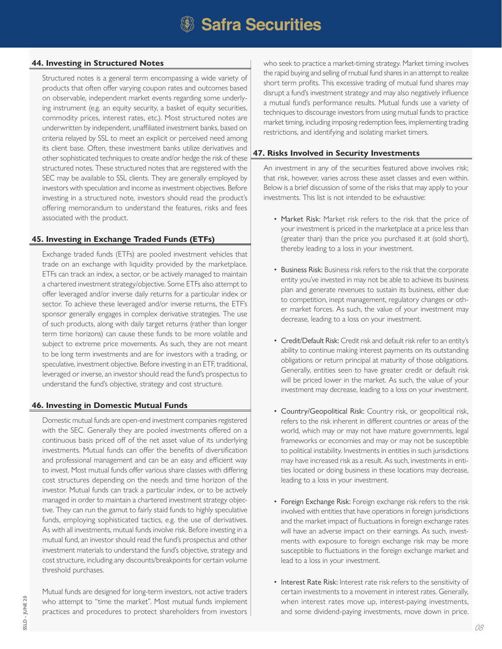#### **44. Investing in Structured Notes**

Structured notes is a general term encompassing a wide variety of products that often offer varying coupon rates and outcomes based on observable, independent market events regarding some underlying instrument (e.g. an equity security, a basket of equity securities, commodity prices, interest rates, etc.). Most structured notes are underwritten by independent, unaffiliated investment banks, based on criteria relayed by SSL to meet an explicit or perceived need among its client base. Often, these investment banks utilize derivatives and other sophisticated techniques to create and/or hedge the risk of these structured notes. These structured notes that are registered with the SEC may be available to SSL clients. They are generally employed by investors with speculation and income as investment objectives. Before investing in a structured note, investors should read the product's offering memorandum to understand the features, risks and fees associated with the product.

# **45. Investing in Exchange Traded Funds (ETFs)**

Exchange traded funds (ETFs) are pooled investment vehicles that trade on an exchange with liquidity provided by the marketplace. ETFs can track an index, a sector, or be actively managed to maintain a chartered investment strategy/objective. Some ETFs also attempt to offer leveraged and/or inverse daily returns for a particular index or sector. To achieve these leveraged and/or inverse returns, the ETF's sponsor generally engages in complex derivative strategies. The use of such products, along with daily target returns (rather than longer term time horizons) can cause these funds to be more volatile and subject to extreme price movements. As such, they are not meant to be long term investments and are for investors with a trading, or speculative, investment objective. Before investing in an ETF, traditional, leveraged or inverse, an investor should read the fund's prospectus to understand the fund's objective, strategy and cost structure.

### **46. Investing in Domestic Mutual Funds**

Domestic mutual funds are open-end investment companies registered with the SEC. Generally they are pooled investments offered on a continuous basis priced off of the net asset value of its underlying investments. Mutual funds can offer the benefits of diversification and professional management and can be an easy and efficient way to invest. Most mutual funds offer various share classes with differing cost structures depending on the needs and time horizon of the investor. Mutual funds can track a particular index, or to be actively managed in order to maintain a chartered investment strategy objective. They can run the gamut to fairly staid funds to highly speculative funds, employing sophisticated tactics, e.g. the use of derivatives. As with all investments, mutual funds involve risk. Before investing in a mutual fund, an investor should read the fund's prospectus and other investment materials to understand the fund's objective, strategy and cost structure, including any discounts/breakpoints for certain volume threshold purchases.

Mutual funds are designed for long-term investors, not active traders who attempt to "time the market". Most mutual funds implement practices and procedures to protect shareholders from investors who seek to practice a market-timing strategy. Market timing involves the rapid buying and selling of mutual fund shares in an attempt to realize short term profits. This excessive trading of mutual fund shares may disrupt a fund's investment strategy and may also negatively influence a mutual fund's performance results. Mutual funds use a variety of techniques to discourage investors from using mutual funds to practice market timing, including imposing redemption fees, implementing trading restrictions, and identifying and isolating market timers.

# **47. Risks Involved in Security Investments**

An investment in any of the securities featured above involves risk; that risk, however, varies across these asset classes and even within. Below is a brief discussion of some of the risks that may apply to your investments. This list is not intended to be exhaustive:

- Market Risk: Market risk refers to the risk that the price of your investment is priced in the marketplace at a price less than (greater than) than the price you purchased it at (sold short), thereby leading to a loss in your investment.
- Business Risk: Business risk refers to the risk that the corporate entity you've invested in may not be able to achieve its business plan and generate revenues to sustain its business, either due to competition, inept management, regulatory changes or other market forces. As such, the value of your investment may decrease, leading to a loss on your investment.
- Credit/Default Risk: Credit risk and default risk refer to an entity's ability to continue making interest payments on its outstanding obligations or return principal at maturity of those obligations. Generally, entities seen to have greater credit or default risk will be priced lower in the market. As such, the value of your investment may decrease, leading to a loss on your investment.
- Country/Geopolitical Risk: Country risk, or geopolitical risk, refers to the risk inherent in different countries or areas of the world, which may or may not have mature governments, legal frameworks or economies and may or may not be susceptible to political instability. Investments in entities in such jurisdictions may have increased risk as a result. As such, investments in entities located or doing business in these locations may decrease, leading to a loss in your investment.
- Foreign Exchange Risk: Foreign exchange risk refers to the risk involved with entities that have operations in foreign jurisdictions and the market impact of fluctuations in foreign exchange rates will have an adverse impact on their earnings. As such, investments with exposure to foreign exchange risk may be more susceptible to fluctuations in the foreign exchange market and lead to a loss in your investment.
- Interest Rate Risk: Interest rate risk refers to the sensitivity of certain investments to a movement in interest rates. Generally, when interest rates move up, interest-paying investments, and some dividend-paying investments, move down in price.